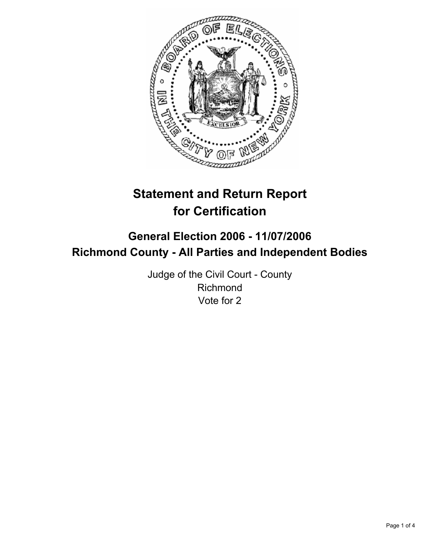

# **Statement and Return Report for Certification**

## **General Election 2006 - 11/07/2006 Richmond County - All Parties and Independent Bodies**

Judge of the Civil Court - County Richmond Vote for 2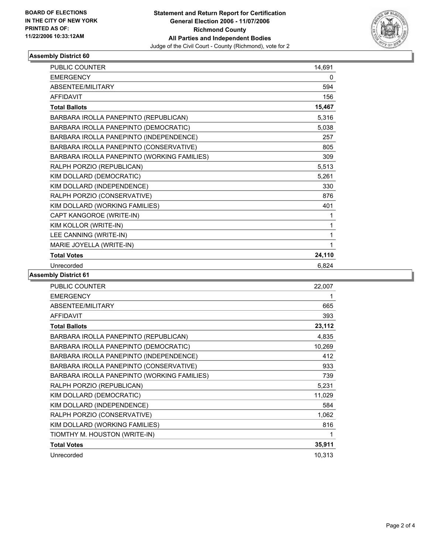

## **Assembly District 60**

| <b>PUBLIC COUNTER</b>                       | 14,691 |
|---------------------------------------------|--------|
| <b>EMERGENCY</b>                            | 0      |
| ABSENTEE/MILITARY                           | 594    |
| <b>AFFIDAVIT</b>                            | 156    |
| <b>Total Ballots</b>                        | 15,467 |
| BARBARA IROLLA PANEPINTO (REPUBLICAN)       | 5,316  |
| BARBARA IROLLA PANEPINTO (DEMOCRATIC)       | 5,038  |
| BARBARA IROLLA PANEPINTO (INDEPENDENCE)     | 257    |
| BARBARA IROLLA PANEPINTO (CONSERVATIVE)     | 805    |
| BARBARA IROLLA PANEPINTO (WORKING FAMILIES) | 309    |
| RALPH PORZIO (REPUBLICAN)                   | 5,513  |
| KIM DOLLARD (DEMOCRATIC)                    | 5,261  |
| KIM DOLLARD (INDEPENDENCE)                  | 330    |
| RALPH PORZIO (CONSERVATIVE)                 | 876    |
| KIM DOLLARD (WORKING FAMILIES)              | 401    |
| CAPT KANGOROE (WRITE-IN)                    |        |
| KIM KOLLOR (WRITE-IN)                       |        |
| LEE CANNING (WRITE-IN)                      |        |
| MARIE JOYELLA (WRITE-IN)                    |        |
| <b>Total Votes</b>                          | 24,110 |
| Unrecorded                                  | 6,824  |

#### **Assembly District 61**

| 22,007 |
|--------|
|        |
| 665    |
| 393    |
| 23,112 |
| 4,835  |
| 10,269 |
| 412    |
| 933    |
| 739    |
| 5,231  |
| 11,029 |
| 584    |
| 1,062  |
| 816    |
|        |
| 35,911 |
| 10,313 |
|        |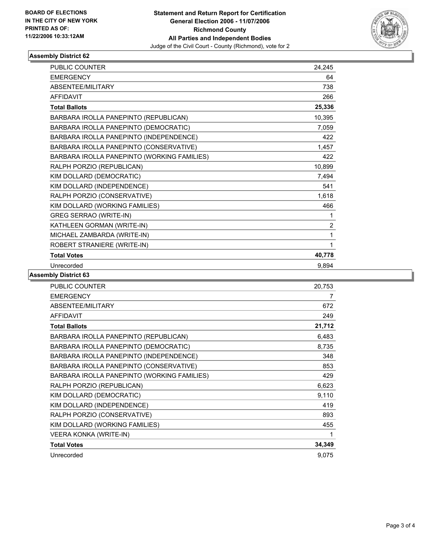

## **Assembly District 62**

| <b>PUBLIC COUNTER</b>                       | 24,245         |
|---------------------------------------------|----------------|
| <b>EMERGENCY</b>                            | 64             |
| ABSENTEE/MILITARY                           | 738            |
| <b>AFFIDAVIT</b>                            | 266            |
| <b>Total Ballots</b>                        | 25,336         |
| BARBARA IROLLA PANEPINTO (REPUBLICAN)       | 10,395         |
| BARBARA IROLLA PANEPINTO (DEMOCRATIC)       | 7,059          |
| BARBARA IROLLA PANEPINTO (INDEPENDENCE)     | 422            |
| BARBARA IROLLA PANEPINTO (CONSERVATIVE)     | 1,457          |
| BARBARA IROLLA PANEPINTO (WORKING FAMILIES) | 422            |
| RALPH PORZIO (REPUBLICAN)                   | 10,899         |
| KIM DOLLARD (DEMOCRATIC)                    | 7,494          |
| KIM DOLLARD (INDEPENDENCE)                  | 541            |
| RALPH PORZIO (CONSERVATIVE)                 | 1,618          |
| KIM DOLLARD (WORKING FAMILIES)              | 466            |
| <b>GREG SERRAO (WRITE-IN)</b>               |                |
| KATHLEEN GORMAN (WRITE-IN)                  | $\overline{2}$ |
| MICHAEL ZAMBARDA (WRITE-IN)                 | 1              |
| ROBERT STRANIERE (WRITE-IN)                 | 1              |
| <b>Total Votes</b>                          | 40,778         |
| Unrecorded                                  | 9,894          |

**Assembly District 63**

| <b>PUBLIC COUNTER</b>                       | 20,753 |
|---------------------------------------------|--------|
| <b>EMERGENCY</b>                            | 7      |
| ABSENTEE/MILITARY                           | 672    |
| <b>AFFIDAVIT</b>                            | 249    |
| <b>Total Ballots</b>                        | 21,712 |
| BARBARA IROLLA PANEPINTO (REPUBLICAN)       | 6,483  |
| BARBARA IROLLA PANEPINTO (DEMOCRATIC)       | 8,735  |
| BARBARA IROLLA PANEPINTO (INDEPENDENCE)     | 348    |
| BARBARA IROLLA PANEPINTO (CONSERVATIVE)     | 853    |
| BARBARA IROLLA PANEPINTO (WORKING FAMILIES) | 429    |
| RALPH PORZIO (REPUBLICAN)                   | 6,623  |
| KIM DOLLARD (DEMOCRATIC)                    | 9,110  |
| KIM DOLLARD (INDEPENDENCE)                  | 419    |
| RALPH PORZIO (CONSERVATIVE)                 | 893    |
| KIM DOLLARD (WORKING FAMILIES)              | 455    |
| VEERA KONKA (WRITE-IN)                      | 1      |
| <b>Total Votes</b>                          | 34,349 |
| Unrecorded                                  | 9,075  |